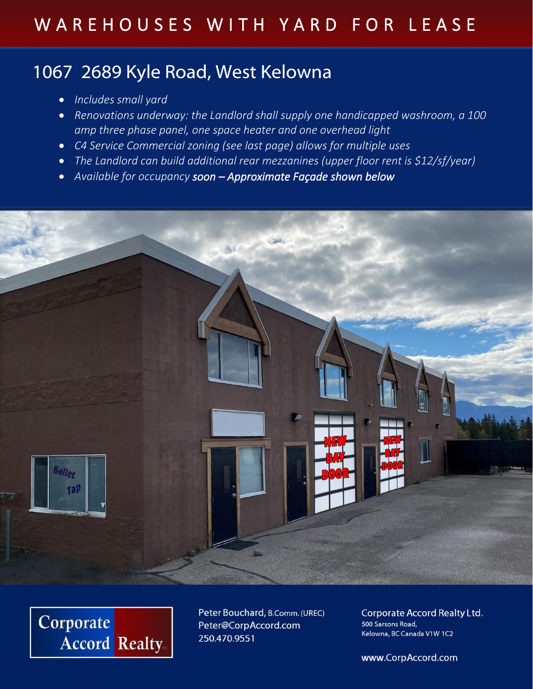## W A R E H O U S E S W I T H Y A R D F O R L E A S E

### 1067 2689 Kyle Road, West Kelowna

- *Includes small yard*
- *Renovations underway: the Landlord shall supply one handicapped washroom, a 100 amp three phase panel, one space heater and one overhead light*
- *C4 Service Commercial zoning (see last page) allows for multiple uses*
- *The Landlord can build additional rear mezzanines (upper floor rent is \$12/sf/year)*
- *Available for occupancy soon – Approximate Façade shown below*





Peter Bouchard, B.Comm. (UREC) Peter@CorpAccord.com 250.470.9551

**Corporate Accord Realty Ltd.** 500 Sarsons Road, Kelowna, BC Canada V1W 1C2

www.CorpAccord.com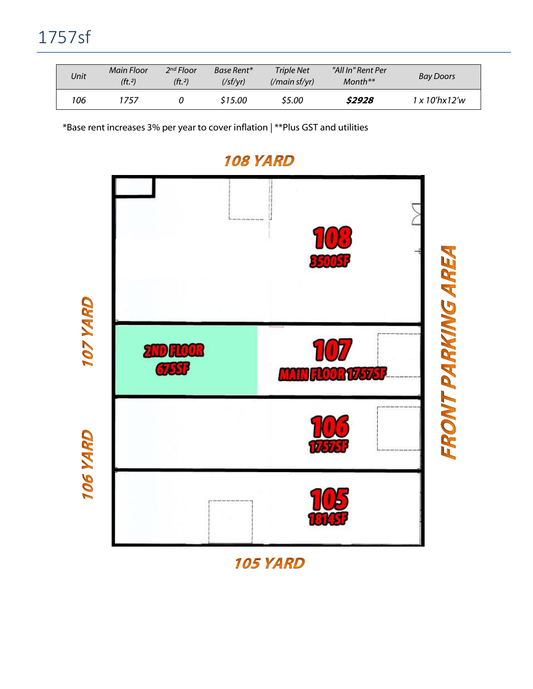| Unit | Main Floor<br>(ft <sub>.2</sub> ) | 2 <sup>nd</sup> Floor<br>( <i>ft</i> , 2) | Base Rent*<br>(/sf/vr) | Triple Net<br>$\frac{1}{\pi}$ (/main sf/yr) | "All In" Rent Per<br>$Month**$ | <b>Bay Doors</b>                          |
|------|-----------------------------------|-------------------------------------------|------------------------|---------------------------------------------|--------------------------------|-------------------------------------------|
| 106  | 1757                              |                                           | \$15.00                | \$5.00                                      | \$2928                         | $1 \times 10^{\prime}$ hx $12^{\prime}$ w |

\*Base rent increases 3% per year to cover inflation | \*\*Plus GST and utilities



#### **108 YARD**

105 YARD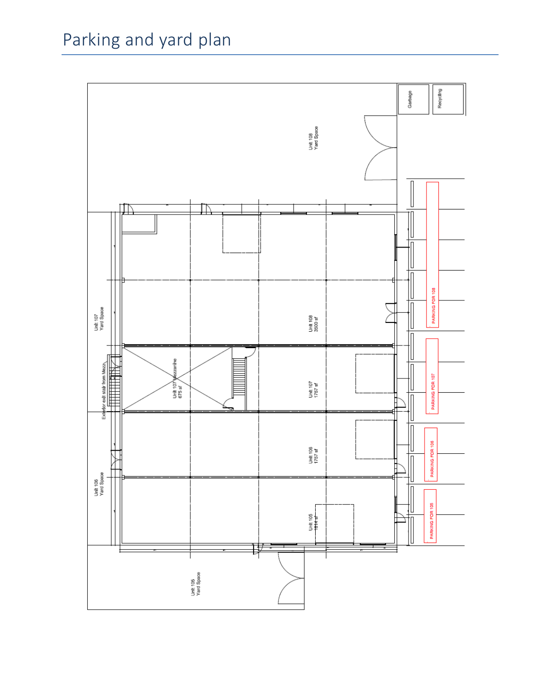# Parking and yard plan